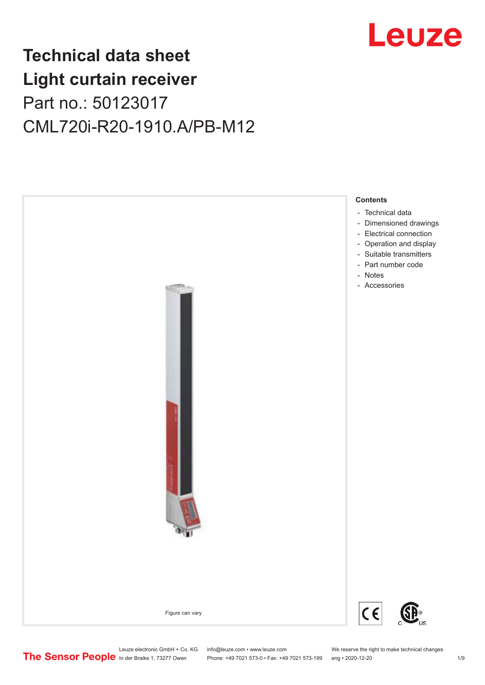

## **Technical data sheet Light curtain receiver** Part no.: 50123017 CML720i-R20-1910.A/PB-M12



Leuze electronic GmbH + Co. KG info@leuze.com • www.leuze.com We reserve the right to make technical changes<br>
The Sensor People in der Braike 1, 73277 Owen Phone: +49 7021 573-0 • Fax: +49 7021 573-199 eng • 2020-12-20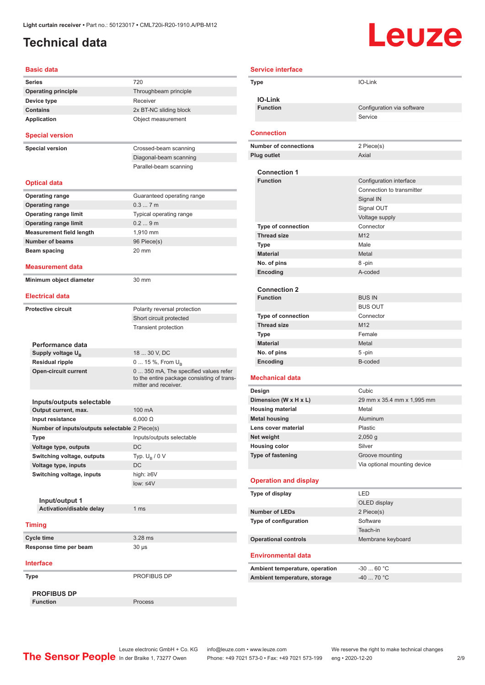### <span id="page-1-0"></span>**Technical data**

# Leuze

| <b>Basic data</b>                              |                                                                                                             |
|------------------------------------------------|-------------------------------------------------------------------------------------------------------------|
| Series                                         | 720                                                                                                         |
| <b>Operating principle</b>                     | Throughbeam principle                                                                                       |
| Device type                                    | Receiver                                                                                                    |
| <b>Contains</b>                                | 2x BT-NC sliding block                                                                                      |
| <b>Application</b>                             | Object measurement                                                                                          |
| <b>Special version</b>                         |                                                                                                             |
| <b>Special version</b>                         | Crossed-beam scanning                                                                                       |
|                                                | Diagonal-beam scanning                                                                                      |
|                                                | Parallel-beam scanning                                                                                      |
| <b>Optical data</b>                            |                                                                                                             |
| <b>Operating range</b>                         | Guaranteed operating range                                                                                  |
| <b>Operating range</b>                         | 0.37m                                                                                                       |
| <b>Operating range limit</b>                   | Typical operating range                                                                                     |
| <b>Operating range limit</b>                   | 0.29m                                                                                                       |
| <b>Measurement field length</b>                | 1,910 mm                                                                                                    |
| <b>Number of beams</b>                         | 96 Piece(s)                                                                                                 |
| Beam spacing                                   | 20 mm                                                                                                       |
|                                                |                                                                                                             |
| <b>Measurement data</b>                        |                                                                                                             |
| Minimum object diameter                        | 30 mm                                                                                                       |
| <b>Electrical data</b>                         |                                                                                                             |
| <b>Protective circuit</b>                      | Polarity reversal protection                                                                                |
|                                                | Short circuit protected                                                                                     |
|                                                | <b>Transient protection</b>                                                                                 |
|                                                |                                                                                                             |
| Performance data                               |                                                                                                             |
| Supply voltage $U_{B}$                         | 18  30 V, DC                                                                                                |
| <b>Residual ripple</b>                         | 0  15 %, From $U_{\rm B}$                                                                                   |
| <b>Open-circuit current</b>                    | 0  350 mA, The specified values refer<br>to the entire package consisting of trans-<br>mitter and receiver. |
|                                                |                                                                                                             |
| Inputs/outputs selectable                      |                                                                                                             |
| Output current, max.                           | 100 mA                                                                                                      |
| Input resistance                               | $6.000 \Omega$                                                                                              |
| Number of inputs/outputs selectable 2 Piece(s) |                                                                                                             |
| Type                                           | Inputs/outputs selectable                                                                                   |
| Voltage type, outputs                          | DC                                                                                                          |
| Switching voltage, outputs                     | Typ. $U_R / 0 V$                                                                                            |
| Voltage type, inputs                           | DC                                                                                                          |
| Switching voltage, inputs                      | high: ≥6V                                                                                                   |
|                                                | low: $\leq 4V$                                                                                              |
|                                                |                                                                                                             |
| Input/output 1<br>Activation/disable delay     | 1 <sub>ms</sub>                                                                                             |
|                                                |                                                                                                             |
| <b>Timing</b>                                  |                                                                                                             |
| Cycle time                                     | 3.28 ms                                                                                                     |
| Response time per beam                         | 30 µs                                                                                                       |
| <b>Interface</b>                               |                                                                                                             |
| Type                                           | PROFIBUS DP                                                                                                 |
| <b>PROFIBUS DP</b>                             |                                                                                                             |
| <b>Function</b>                                | Process                                                                                                     |

|             | <b>Service interface</b>                 |                              |  |
|-------------|------------------------------------------|------------------------------|--|
| <b>Type</b> |                                          | IO-Link                      |  |
|             | <b>IO-Link</b>                           |                              |  |
|             | <b>Function</b>                          | Configuration via software   |  |
|             |                                          | Service                      |  |
|             |                                          |                              |  |
|             | <b>Connection</b>                        |                              |  |
|             | <b>Number of connections</b>             | 2 Piece(s)                   |  |
|             | <b>Plug outlet</b>                       | Axial                        |  |
|             |                                          |                              |  |
|             | <b>Connection 1</b>                      |                              |  |
|             | <b>Function</b>                          | Configuration interface      |  |
|             |                                          | Connection to transmitter    |  |
|             |                                          | Signal IN                    |  |
|             |                                          | Signal OUT                   |  |
|             |                                          | Voltage supply               |  |
|             | Type of connection                       | Connector                    |  |
|             | <b>Thread size</b>                       | M12                          |  |
|             | Type                                     | Male                         |  |
|             | <b>Material</b>                          | Metal                        |  |
|             | No. of pins                              | 8-pin                        |  |
|             | Encoding                                 | A-coded                      |  |
|             |                                          |                              |  |
|             | <b>Connection 2</b><br><b>Function</b>   | <b>BUS IN</b>                |  |
|             |                                          | <b>BUS OUT</b>               |  |
|             |                                          | Connector                    |  |
|             | Type of connection<br><b>Thread size</b> | M12                          |  |
|             |                                          | Female                       |  |
|             | <b>Type</b><br><b>Material</b>           | Metal                        |  |
|             | No. of pins                              | 5-pin                        |  |
|             | Encoding                                 | B-coded                      |  |
|             |                                          |                              |  |
|             | <b>Mechanical data</b>                   |                              |  |
|             | Design                                   | Cubic.                       |  |
|             | Dimension (W x H x L)                    | 29 mm x 35.4 mm x 1,995 mm   |  |
|             | <b>Housing material</b>                  | Metal                        |  |
|             | <b>Metal housing</b>                     | Aluminum                     |  |
|             | l ens cover material                     | Plastic                      |  |
|             | Net weight                               | $2,050$ g                    |  |
|             | <b>Housing color</b>                     | Silver                       |  |
|             | Type of fastening                        | Groove mounting              |  |
|             |                                          | Via optional mounting device |  |
|             | <b>Operation and display</b>             |                              |  |
|             | Type of display                          | LED                          |  |
|             |                                          | OLED display                 |  |
|             | <b>Number of LEDs</b>                    | 2 Piece(s)                   |  |
|             | Type of configuration                    | Software                     |  |
|             |                                          | Teach-in                     |  |
|             | <b>Operational controls</b>              | Membrane keyboard            |  |
|             |                                          |                              |  |
|             | <b>Environmental data</b>                |                              |  |
|             | Ambient temperature, operation           | $-3060 °C$                   |  |
|             | Ambient temperature, storage             | -40  70 °C                   |  |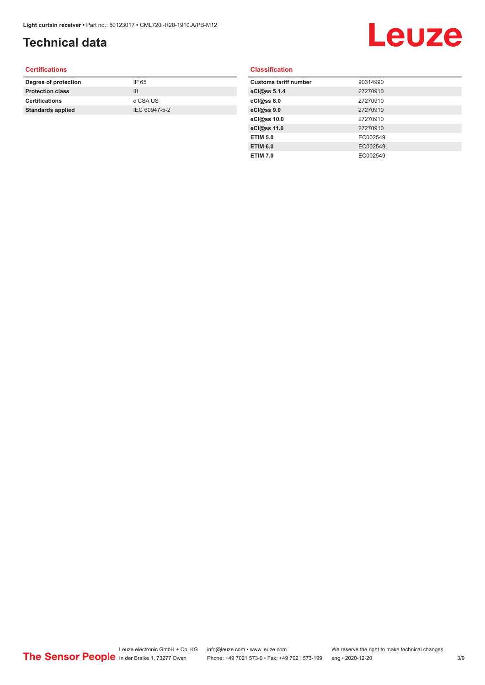## **Technical data**

## Leuze

#### **Certifications**

| Degree of protection     | IP 65         |
|--------------------------|---------------|
| <b>Protection class</b>  | Ш             |
| <b>Certifications</b>    | c CSA US      |
| <b>Standards applied</b> | IEC 60947-5-2 |
|                          |               |

#### **Classification**

| <b>Customs tariff number</b> | 90314990 |
|------------------------------|----------|
| eCl@ss 5.1.4                 | 27270910 |
| eCl@ss 8.0                   | 27270910 |
| eCl@ss 9.0                   | 27270910 |
| eCl@ss 10.0                  | 27270910 |
| eCl@ss 11.0                  | 27270910 |
| <b>ETIM 5.0</b>              | EC002549 |
| <b>ETIM 6.0</b>              | EC002549 |
| <b>ETIM 7.0</b>              | EC002549 |
|                              |          |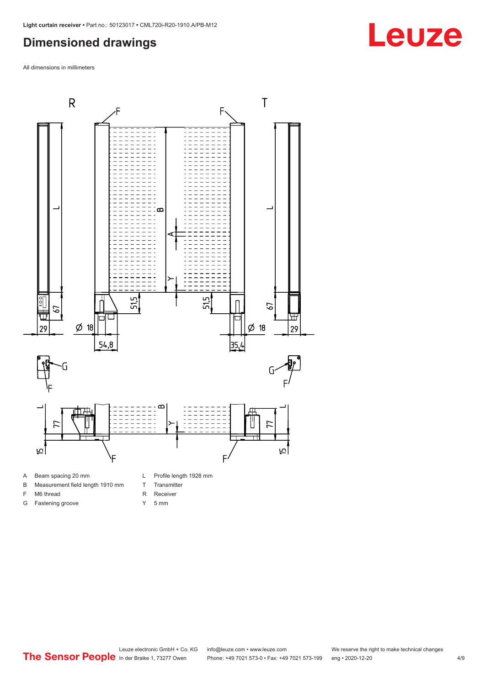#### <span id="page-3-0"></span>**Dimensioned drawings**

All dimensions in millimeters



- 
- B Measurement field length 1910 mm
- F M6 thread
- G Fastening groove
- R Receiver
- Y 5 mm

T Transmitter

Leuze electronic GmbH + Co. KG info@leuze.com • www.leuze.com We reserve the right to make technical changes<br>
The Sensor People in der Braike 1, 73277 Owen Phone: +49 7021 573-0 • Fax: +49 7021 573-199 eng • 2020-12-20 Phone: +49 7021 573-0 • Fax: +49 7021 573-199 eng • 2020-12-20 4/9

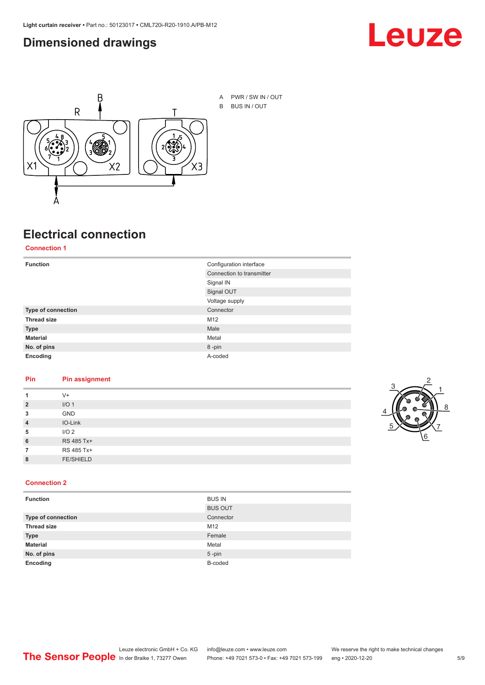#### <span id="page-4-0"></span>**Dimensioned drawings**





A PWR / SW IN / OUT B BUS IN / OUT

## **Electrical connection**

**Connection 1**

| <b>Function</b>    | Configuration interface   |
|--------------------|---------------------------|
|                    | Connection to transmitter |
|                    | Signal IN                 |
|                    | Signal OUT                |
|                    | Voltage supply            |
| Type of connection | Connector                 |
| <b>Thread size</b> | M12                       |
| <b>Type</b>        | Male                      |
| <b>Material</b>    | Metal                     |
| No. of pins        | 8-pin                     |
| Encoding           | A-coded                   |

#### **Pin Pin assignment**

| 1              | $V +$            |  |  |
|----------------|------------------|--|--|
| $\overline{2}$ | I/O <sub>1</sub> |  |  |
| 3              | <b>GND</b>       |  |  |
| $\overline{4}$ | IO-Link          |  |  |
| 5              | I/O <sub>2</sub> |  |  |
| 6              | RS 485 Tx+       |  |  |
| 7              | RS 485 Tx+       |  |  |
| 8              | <b>FE/SHIELD</b> |  |  |
|                |                  |  |  |



#### **Connection 2**

| <b>Function</b>    | <b>BUS IN</b>  |
|--------------------|----------------|
|                    | <b>BUS OUT</b> |
| Type of connection | Connector      |
| <b>Thread size</b> | M12            |
| <b>Type</b>        | Female         |
| <b>Material</b>    | Metal          |
| No. of pins        | $5$ -pin       |
| Encoding           | B-coded        |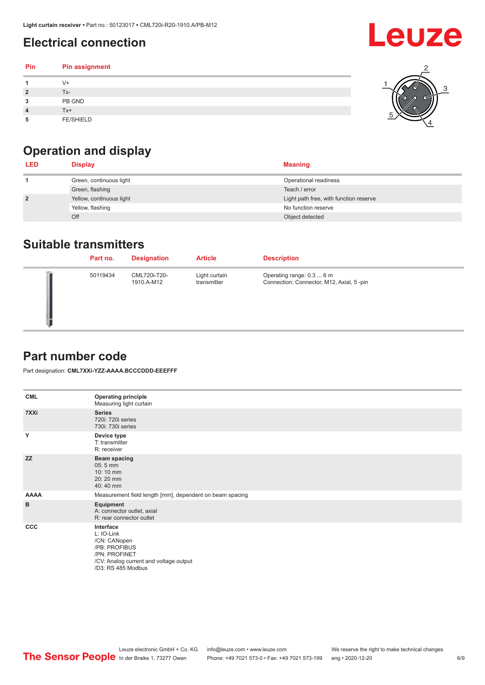### <span id="page-5-0"></span>**Electrical connection**

#### **Pin Pin assignment 1** V+ **2** Tx-**3** PB GND **4** Tx+ **5** FE/SHIELD 3 2 1 5 4

## **Operation and display**

| <b>LED</b>     | <b>Display</b>           | <b>Meaning</b>                         |
|----------------|--------------------------|----------------------------------------|
|                | Green, continuous light  | Operational readiness                  |
|                | Green, flashing          | Teach / error                          |
| $\overline{2}$ | Yellow, continuous light | Light path free, with function reserve |
|                | Yellow, flashing         | No function reserve                    |
|                | Off                      | Object detected                        |

#### **Suitable transmitters**

| Part no. | <b>Designation</b>         | <b>Article</b>               | <b>Description</b>                                                     |
|----------|----------------------------|------------------------------|------------------------------------------------------------------------|
| 50119434 | CML720i-T20-<br>1910.A-M12 | Light curtain<br>transmitter | Operating range: 0.3  6 m<br>Connection: Connector, M12, Axial, 5 -pin |

#### **Part number code**

Part designation: **CML7XXi-YZZ-AAAA.BCCCDDD-EEEFFF**

| <b>CML</b>   | <b>Operating principle</b><br>Measuring light curtain                                                                                     |
|--------------|-------------------------------------------------------------------------------------------------------------------------------------------|
| 7XXi         | <b>Series</b><br>720i: 720i series<br>730i: 730i series                                                                                   |
| Y            | Device type<br>T: transmitter<br>R: receiver                                                                                              |
| <b>ZZ</b>    | <b>Beam spacing</b><br>$05:5$ mm<br>$10:10 \, \text{mm}$<br>20:20 mm<br>40:40 mm                                                          |
| <b>AAAA</b>  | Measurement field length [mm], dependent on beam spacing                                                                                  |
| в            | Equipment<br>A: connector outlet, axial<br>R: rear connector outlet                                                                       |
| $_{\rm ccc}$ | Interface<br>L: IO-Link<br>/CN: CANopen<br>/PB: PROFIBUS<br>/PN: PROFINET<br>/CV: Analog current and voltage output<br>/D3: RS 485 Modbus |



**Leuze**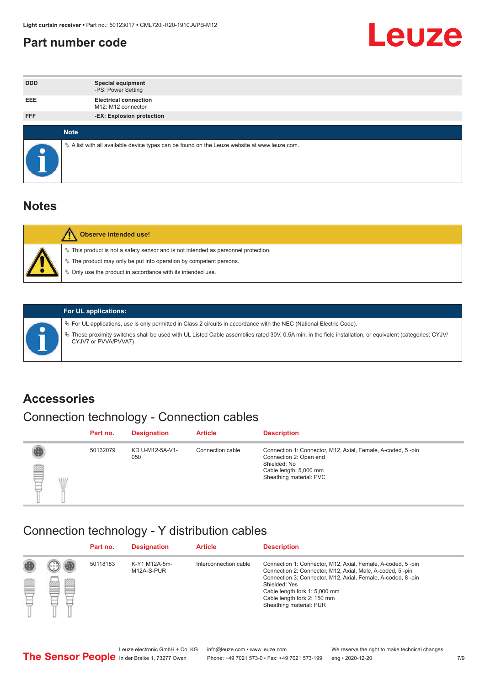#### <span id="page-6-0"></span>**Part number code**



| <b>DDD</b> | <b>Special equipment</b><br>-PS: Power Setting                                                  |
|------------|-------------------------------------------------------------------------------------------------|
| <b>EEE</b> | <b>Electrical connection</b><br>M12: M12 connector                                              |
| <b>FFF</b> | -EX: Explosion protection                                                                       |
|            |                                                                                                 |
|            | <b>Note</b>                                                                                     |
| c          | $\&$ A list with all available device types can be found on the Leuze website at www.leuze.com. |

#### **Notes**

| <b>Observe intended use!</b>                                                                                                                                                                                                  |
|-------------------------------------------------------------------------------------------------------------------------------------------------------------------------------------------------------------------------------|
| $\%$ This product is not a safety sensor and is not intended as personnel protection.<br>$\%$ The product may only be put into operation by competent persons.<br>♦ Only use the product in accordance with its intended use. |



#### **For UL applications:**

ª For UL applications, use is only permitted in Class 2 circuits in accordance with the NEC (National Electric Code). ª These proximity switches shall be used with UL Listed Cable assemblies rated 30V, 0.5A min, in the field installation, or equivalent (categories: CYJV/ CYJV7 or PVVA/PVVA7)

#### **Accessories**

## Connection technology - Connection cables

|          | Part no. | <b>Designation</b>     | <b>Article</b>   | <b>Description</b>                                                                                                                                         |
|----------|----------|------------------------|------------------|------------------------------------------------------------------------------------------------------------------------------------------------------------|
| P<br>WIL | 50132079 | KD U-M12-5A-V1-<br>050 | Connection cable | Connection 1: Connector, M12, Axial, Female, A-coded, 5-pin<br>Connection 2: Open end<br>Shielded: No<br>Cable length: 5,000 mm<br>Sheathing material: PVC |

#### Connection technology - Y distribution cables

|   |   | Part no. | <b>Designation</b>          | <b>Article</b>        | <b>Description</b>                                                                                                                                                                                                                                                                                  |
|---|---|----------|-----------------------------|-----------------------|-----------------------------------------------------------------------------------------------------------------------------------------------------------------------------------------------------------------------------------------------------------------------------------------------------|
| Ø | ø | 50118183 | K-Y1 M12A-5m-<br>M12A-S-PUR | Interconnection cable | Connection 1: Connector, M12, Axial, Female, A-coded, 5-pin<br>Connection 2: Connector, M12, Axial, Male, A-coded, 5-pin<br>Connection 3: Connector, M12, Axial, Female, A-coded, 8-pin<br>Shielded: Yes<br>Cable length fork 1: 5,000 mm<br>Cable length fork 2: 150 mm<br>Sheathing material: PUR |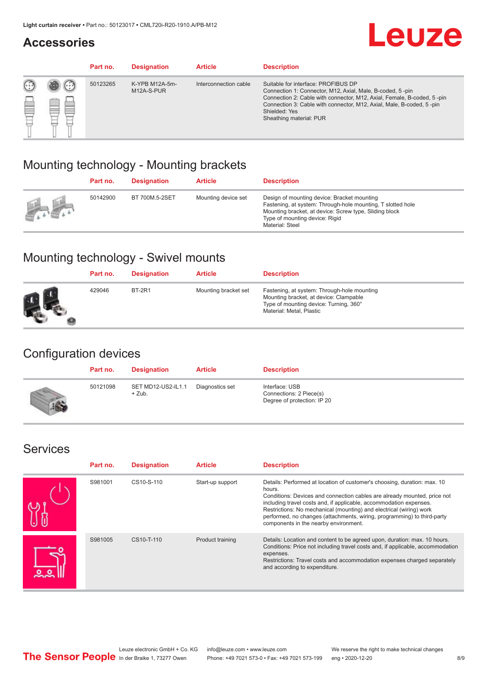#### **Accessories**

## **Leuze**

|     |        | Part no. | <b>Designation</b>           | <b>Article</b>        | <b>Description</b>                                                                                                                                                                                                                                                                             |
|-----|--------|----------|------------------------------|-----------------------|------------------------------------------------------------------------------------------------------------------------------------------------------------------------------------------------------------------------------------------------------------------------------------------------|
| 622 | æ<br>鍃 | 50123265 | K-YPB M12A-5m-<br>M12A-S-PUR | Interconnection cable | Suitable for interface: PROFIBUS DP<br>Connection 1: Connector, M12, Axial, Male, B-coded, 5-pin<br>Connection 2: Cable with connector, M12, Axial, Female, B-coded, 5-pin<br>Connection 3: Cable with connector, M12, Axial, Male, B-coded, 5-pin<br>Shielded: Yes<br>Sheathing material: PUR |

#### Mounting technology - Mounting brackets

|               | Part no. | <b>Designation</b> | <b>Article</b>      | <b>Description</b>                                                                                                                                                                                                        |
|---------------|----------|--------------------|---------------------|---------------------------------------------------------------------------------------------------------------------------------------------------------------------------------------------------------------------------|
| $\frac{1}{2}$ | 50142900 | BT 700M.5-2SET     | Mounting device set | Design of mounting device: Bracket mounting<br>Fastening, at system: Through-hole mounting, T slotted hole<br>Mounting bracket, at device: Screw type, Sliding block<br>Type of mounting device: Rigid<br>Material: Steel |

### Mounting technology - Swivel mounts

| Part no. | <b>Designation</b> | <b>Article</b>       | <b>Description</b>                                                                                                                                          |
|----------|--------------------|----------------------|-------------------------------------------------------------------------------------------------------------------------------------------------------------|
| 429046   | <b>BT-2R1</b>      | Mounting bracket set | Fastening, at system: Through-hole mounting<br>Mounting bracket, at device: Clampable<br>Type of mounting device: Turning, 360°<br>Material: Metal, Plastic |

#### Configuration devices

| Part no. | <b>Designation</b>             | <b>Article</b>  | <b>Description</b>                                                       |
|----------|--------------------------------|-----------------|--------------------------------------------------------------------------|
| 50121098 | SET MD12-US2-IL1.1<br>$+$ Zub. | Diagnostics set | Interface: USB<br>Connections: 2 Piece(s)<br>Degree of protection: IP 20 |

#### Services

| Part no. | <b>Designation</b> | <b>Article</b>   | <b>Description</b>                                                                                                                                                                                                                                                                                                                                                                                                              |
|----------|--------------------|------------------|---------------------------------------------------------------------------------------------------------------------------------------------------------------------------------------------------------------------------------------------------------------------------------------------------------------------------------------------------------------------------------------------------------------------------------|
| S981001  | CS10-S-110         | Start-up support | Details: Performed at location of customer's choosing, duration: max. 10<br>hours.<br>Conditions: Devices and connection cables are already mounted, price not<br>including travel costs and, if applicable, accommodation expenses.<br>Restrictions: No mechanical (mounting) and electrical (wiring) work<br>performed, no changes (attachments, wiring, programming) to third-party<br>components in the nearby environment. |
| S981005  | CS10-T-110         | Product training | Details: Location and content to be agreed upon, duration: max. 10 hours.<br>Conditions: Price not including travel costs and, if applicable, accommodation<br>expenses.<br>Restrictions: Travel costs and accommodation expenses charged separately<br>and according to expenditure.                                                                                                                                           |